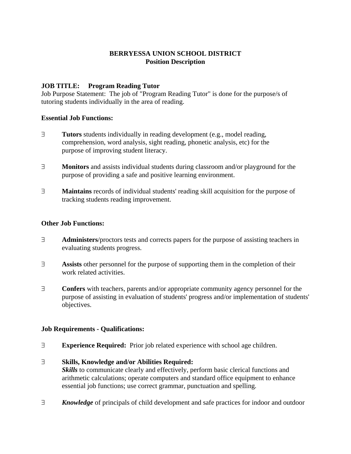## **BERRYESSA UNION SCHOOL DISTRICT Position Description**

## **JOB TITLE: Program Reading Tutor**

Job Purpose Statement: The job of "Program Reading Tutor" is done for the purpose/s of tutoring students individually in the area of reading.

#### **Essential Job Functions:**

- ∃ **Tutors** students individually in reading development (e.g., model reading, comprehension, word analysis, sight reading, phonetic analysis, etc) for the purpose of improving student literacy.
- ∃ **Monitors** and assists individual students during classroom and/or playground for the purpose of providing a safe and positive learning environment.
- ∃ **Maintains** records of individual students' reading skill acquisition for the purpose of tracking students reading improvement.

## **Other Job Functions:**

- ∃ **Administers**/proctors tests and corrects papers for the purpose of assisting teachers in evaluating students progress.
- ∃ **Assists** other personnel for the purpose of supporting them in the completion of their work related activities.
- ∃ **Confers** with teachers, parents and/or appropriate community agency personnel for the purpose of assisting in evaluation of students' progress and/or implementation of students' objectives.

#### **Job Requirements - Qualifications:**

∃ **Experience Required:** Prior job related experience with school age children.

# ∃ **Skills, Knowledge and/or Abilities Required:**

**Skills** to communicate clearly and effectively, perform basic clerical functions and arithmetic calculations; operate computers and standard office equipment to enhance essential job functions; use correct grammar, punctuation and spelling*.*

∃ *Knowledge* of principals of child development and safe practices for indoor and outdoor